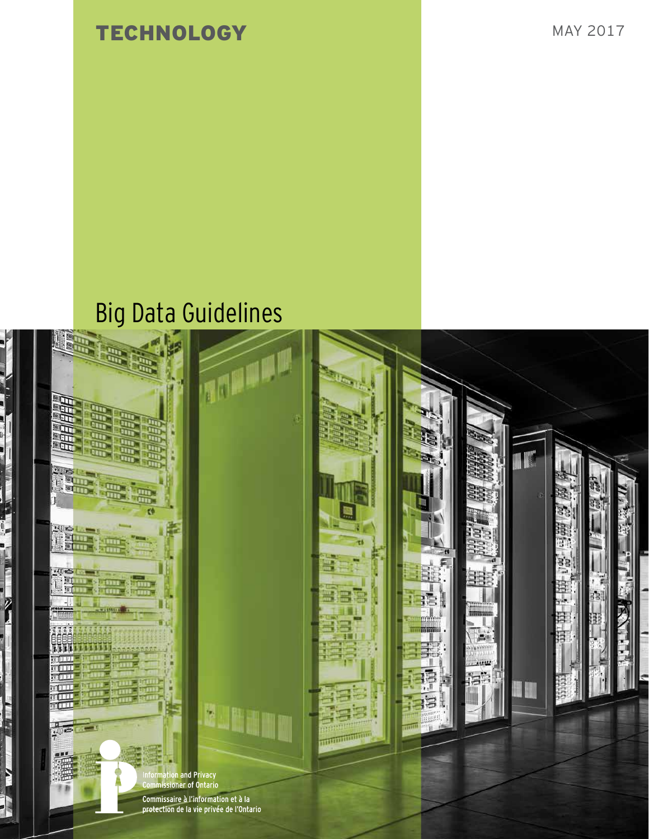TECHNOLOGY MAY 2017

# Big Data Guidelines

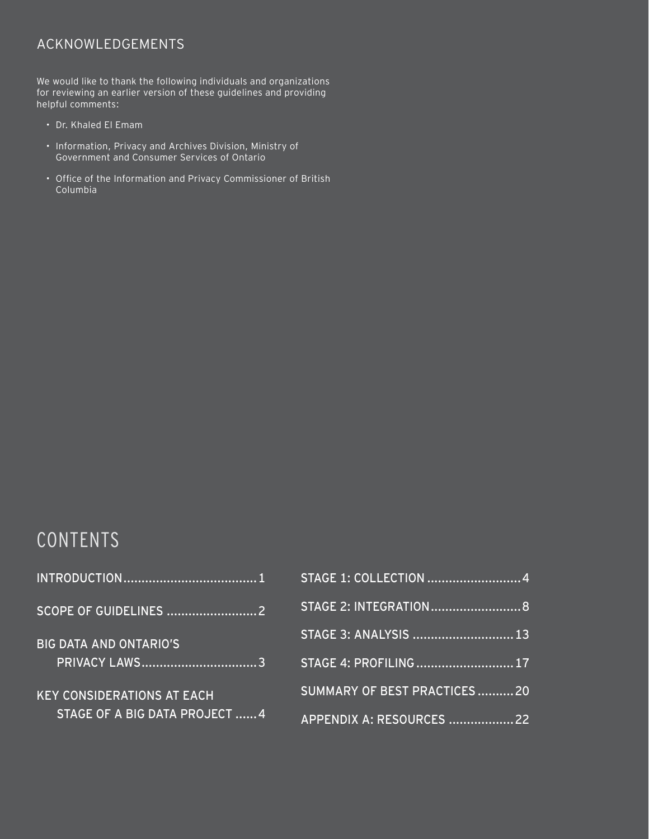# ACKNOWLEDGEMENTS

We would like to thank the following individuals and organizations for reviewing an earlier version of these guidelines and providing helpful comments:

- Dr. Khaled El Emam
- Information, Privacy and Archives Division, Ministry of Government and Consumer Services of Ontario
- Office of the Information and Privacy Commissioner of British Columbia

# CONTENTS

| <b>BIG DATA AND ONTARIO'S</b><br><b>PRIVACY LAWS3</b> |
|-------------------------------------------------------|
| <b>KEY CONSIDERATIONS AT EACH</b>                     |
| STAGE OF A BIG DATA PROJECT  4                        |

| STAGE 1: COLLECTION 4       |  |
|-----------------------------|--|
| STAGE 2: INTEGRATION 8      |  |
| STAGE 3: ANALYSIS  13       |  |
| STAGE 4: PROFILING  17      |  |
| SUMMARY OF BEST PRACTICES20 |  |
| APPENDIX A: RESOURCES 22    |  |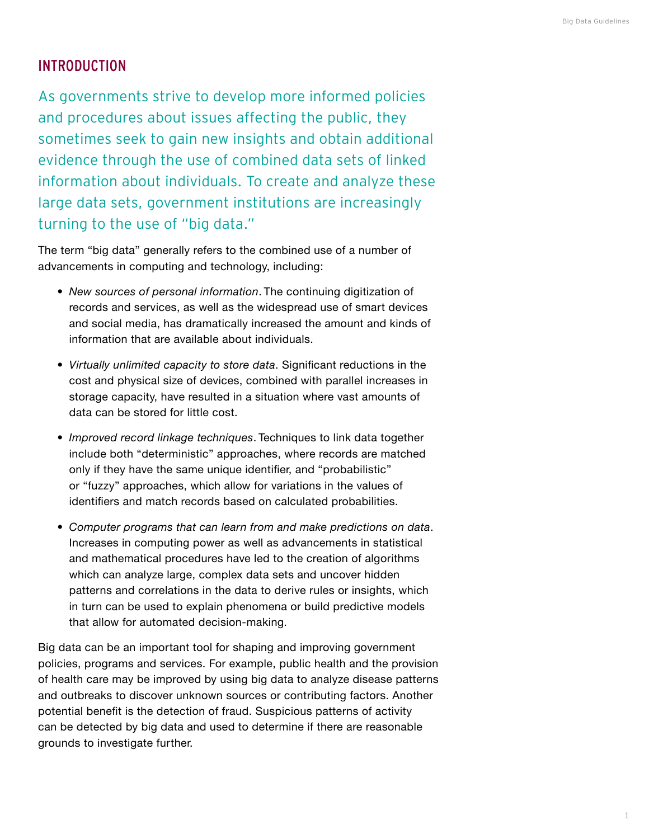# <span id="page-2-0"></span>INTRODUCTION

As governments strive to develop more informed policies and procedures about issues affecting the public, they sometimes seek to gain new insights and obtain additional evidence through the use of combined data sets of linked information about individuals. To create and analyze these large data sets, government institutions are increasingly turning to the use of "big data."

The term "big data" generally refers to the combined use of a number of advancements in computing and technology, including:

- *• New sources of personal information*. The continuing digitization of records and services, as well as the widespread use of smart devices and social media, has dramatically increased the amount and kinds of information that are available about individuals.
- *• Virtually unlimited capacity to store data*. Significant reductions in the cost and physical size of devices, combined with parallel increases in storage capacity, have resulted in a situation where vast amounts of data can be stored for little cost.
- *• Improved record linkage techniques*. Techniques to link data together include both "deterministic" approaches, where records are matched only if they have the same unique identifier, and "probabilistic" or "fuzzy" approaches, which allow for variations in the values of identifiers and match records based on calculated probabilities.
- *• Computer programs that can learn from and make predictions on data*. Increases in computing power as well as advancements in statistical and mathematical procedures have led to the creation of algorithms which can analyze large, complex data sets and uncover hidden patterns and correlations in the data to derive rules or insights, which in turn can be used to explain phenomena or build predictive models that allow for automated decision-making.

Big data can be an important tool for shaping and improving government policies, programs and services. For example, public health and the provision of health care may be improved by using big data to analyze disease patterns and outbreaks to discover unknown sources or contributing factors. Another potential benefit is the detection of fraud. Suspicious patterns of activity can be detected by big data and used to determine if there are reasonable grounds to investigate further.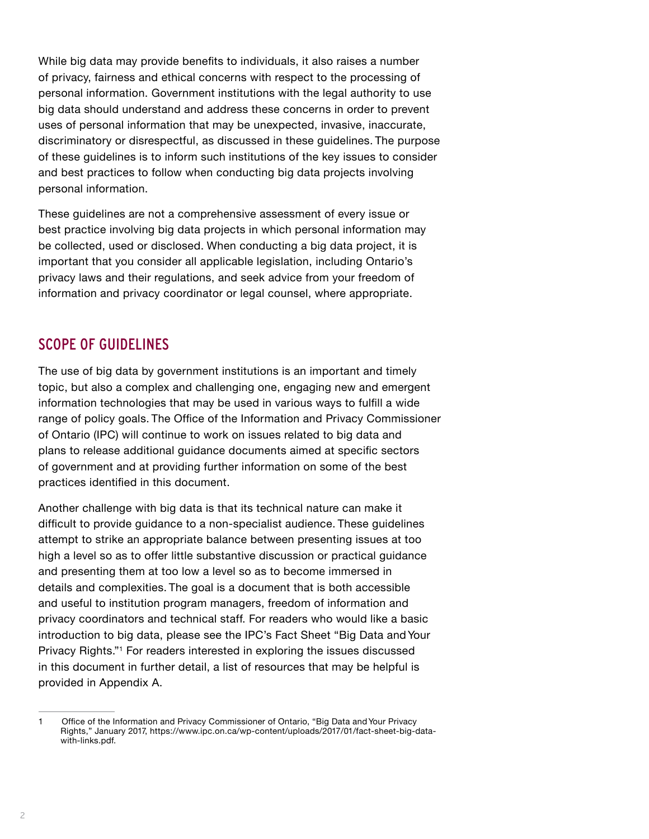<span id="page-3-0"></span>While big data may provide benefits to individuals, it also raises a number of privacy, fairness and ethical concerns with respect to the processing of personal information. Government institutions with the legal authority to use big data should understand and address these concerns in order to prevent uses of personal information that may be unexpected, invasive, inaccurate, discriminatory or disrespectful, as discussed in these guidelines. The purpose of these guidelines is to inform such institutions of the key issues to consider and best practices to follow when conducting big data projects involving personal information.

These guidelines are not a comprehensive assessment of every issue or best practice involving big data projects in which personal information may be collected, used or disclosed. When conducting a big data project, it is important that you consider all applicable legislation, including Ontario's privacy laws and their regulations, and seek advice from your freedom of information and privacy coordinator or legal counsel, where appropriate.

# SCOPE OF GUIDELINES

The use of big data by government institutions is an important and timely topic, but also a complex and challenging one, engaging new and emergent information technologies that may be used in various ways to fulfill a wide range of policy goals. The Office of the Information and Privacy Commissioner of Ontario (IPC) will continue to work on issues related to big data and plans to release additional guidance documents aimed at specific sectors of government and at providing further information on some of the best practices identified in this document.

Another challenge with big data is that its technical nature can make it difficult to provide guidance to a non-specialist audience. These guidelines attempt to strike an appropriate balance between presenting issues at too high a level so as to offer little substantive discussion or practical guidance and presenting them at too low a level so as to become immersed in details and complexities. The goal is a document that is both accessible and useful to institution program managers, freedom of information and privacy coordinators and technical staff. For readers who would like a basic introduction to big data, please see the IPC's Fact Sheet "Big Data and Your Privacy Rights."1 For readers interested in exploring the issues discussed in this document in further detail, a list of resources that may be helpful is provided in Appendix A.

<sup>1</sup> Office of the Information and Privacy Commissioner of Ontario, "Big Data and Your Privacy Rights," January 2017, [https://www.ipc.on.ca/wp-content/uploads/2017/01/fact-sheet-big-data](https://www.ipc.on.ca/wp-content/uploads/2017/01/fact-sheet-big-data-with-links.pdf)[with-links.pdf](https://www.ipc.on.ca/wp-content/uploads/2017/01/fact-sheet-big-data-with-links.pdf).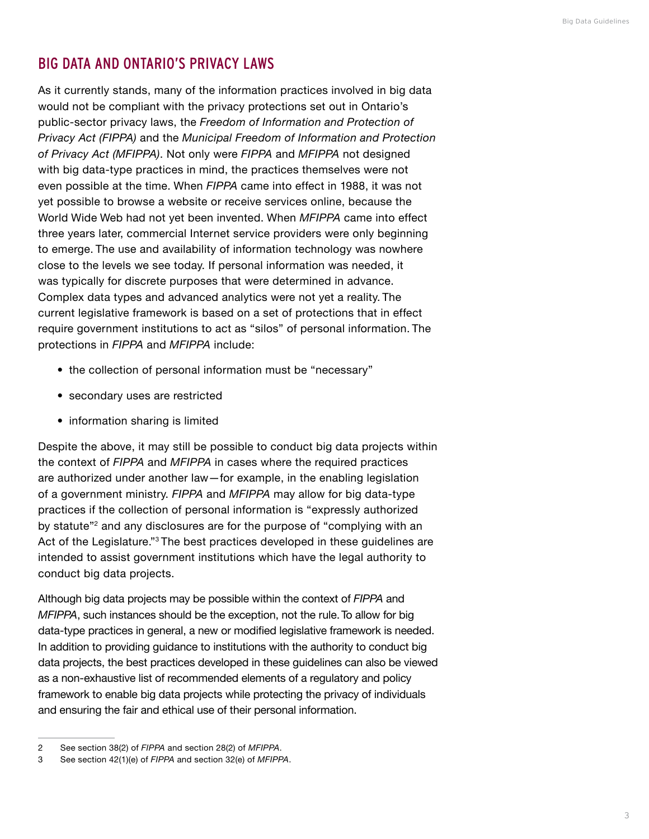# <span id="page-4-0"></span>BIG DATA AND ONTARIO'S PRIVACY LAWS

As it currently stands, many of the information practices involved in big data would not be compliant with the privacy protections set out in Ontario's public-sector privacy laws, the *Freedom of Information and Protection of Privacy Act (FIPPA)* and the *Municipal Freedom of Information and Protection of Privacy Act (MFIPPA)*. Not only were *FIPPA* and *MFIPPA* not designed with big data-type practices in mind, the practices themselves were not even possible at the time. When *FIPPA* came into effect in 1988, it was not yet possible to browse a website or receive services online, because the World Wide Web had not yet been invented. When *MFIPPA* came into effect three years later, commercial Internet service providers were only beginning to emerge. The use and availability of information technology was nowhere close to the levels we see today. If personal information was needed, it was typically for discrete purposes that were determined in advance. Complex data types and advanced analytics were not yet a reality. The current legislative framework is based on a set of protections that in effect require government institutions to act as "silos" of personal information. The protections in *FIPPA* and *MFIPPA* include:

- the collection of personal information must be "necessary"
- secondary uses are restricted
- information sharing is limited

Despite the above, it may still be possible to conduct big data projects within the context of *FIPPA* and *MFIPPA* in cases where the required practices are authorized under another law—for example, in the enabling legislation of a government ministry. *FIPPA* and *MFIPPA* may allow for big data-type practices if the collection of personal information is "expressly authorized by statute<sup>"2</sup> and any disclosures are for the purpose of "complying with an Act of the Legislature."3 The best practices developed in these guidelines are intended to assist government institutions which have the legal authority to conduct big data projects.

Although big data projects may be possible within the context of *FIPPA* and *MFIPPA*, such instances should be the exception, not the rule. To allow for big data-type practices in general, a new or modified legislative framework is needed. In addition to providing guidance to institutions with the authority to conduct big data projects, the best practices developed in these guidelines can also be viewed as a non-exhaustive list of recommended elements of a regulatory and policy framework to enable big data projects while protecting the privacy of individuals and ensuring the fair and ethical use of their personal information.

<sup>2</sup> See section 38(2) of *FIPPA* and section 28(2) of *MFIPPA*.

<sup>3</sup> See section 42(1)(e) of *FIPPA* and section 32(e) of *MFIPPA*.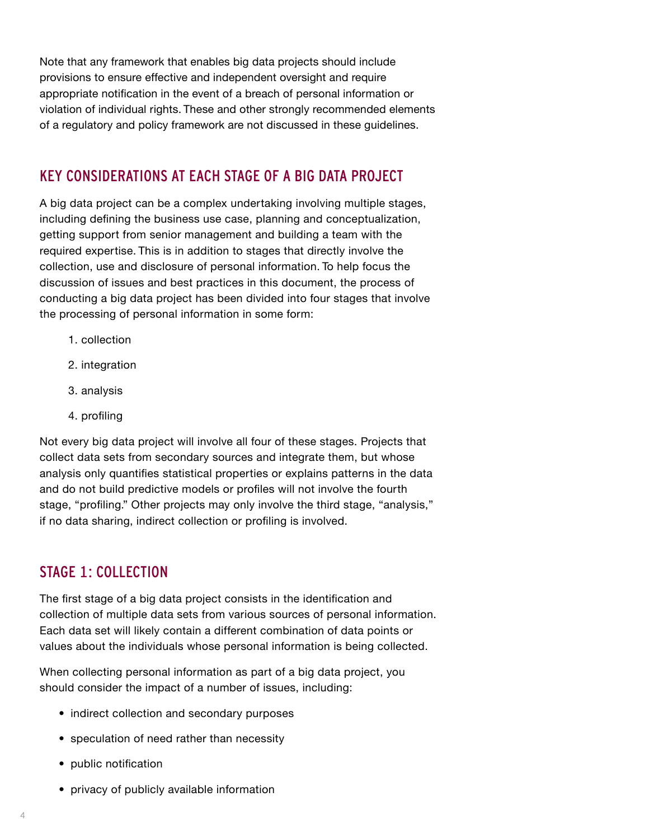<span id="page-5-0"></span>Note that any framework that enables big data projects should include provisions to ensure effective and independent oversight and require appropriate notification in the event of a breach of personal information or violation of individual rights. These and other strongly recommended elements of a regulatory and policy framework are not discussed in these guidelines.

# KEY CONSIDERATIONS AT EACH STAGE OF A BIG DATA PROJECT

A big data project can be a complex undertaking involving multiple stages, including defining the business use case, planning and conceptualization, getting support from senior management and building a team with the required expertise. This is in addition to stages that directly involve the collection, use and disclosure of personal information. To help focus the discussion of issues and best practices in this document, the process of conducting a big data project has been divided into four stages that involve the processing of personal information in some form:

- 1. collection
- 2. integration
- 3. analysis
- 4. profiling

Not every big data project will involve all four of these stages. Projects that collect data sets from secondary sources and integrate them, but whose analysis only quantifies statistical properties or explains patterns in the data and do not build predictive models or profiles will not involve the fourth stage, "profiling." Other projects may only involve the third stage, "analysis," if no data sharing, indirect collection or profiling is involved.

# STAGE 1: COLLECTION

The first stage of a big data project consists in the identification and collection of multiple data sets from various sources of personal information. Each data set will likely contain a different combination of data points or values about the individuals whose personal information is being collected.

When collecting personal information as part of a big data project, you should consider the impact of a number of issues, including:

- indirect collection and secondary purposes
- speculation of need rather than necessity
- public notification
- privacy of publicly available information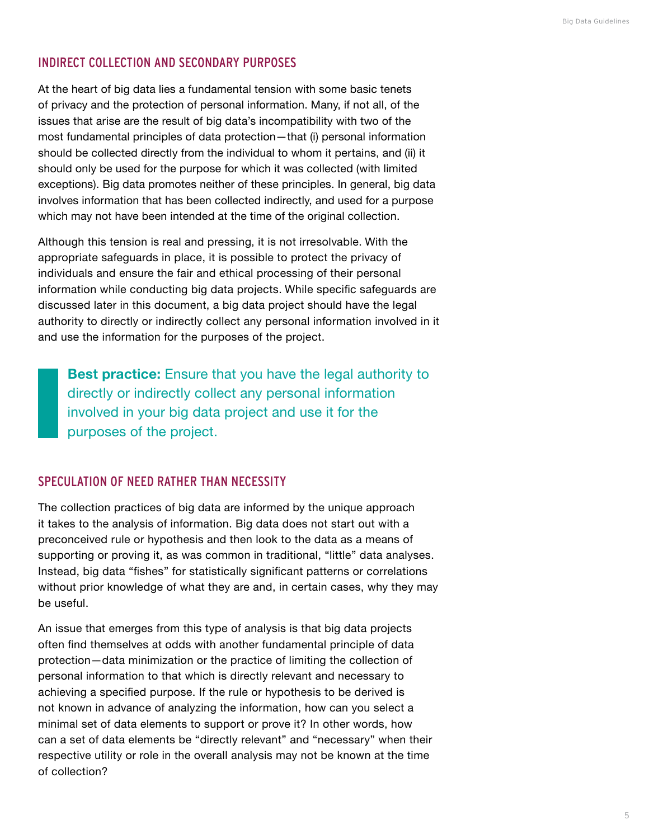#### INDIRECT COLLECTION AND SECONDARY PURPOSES

At the heart of big data lies a fundamental tension with some basic tenets of privacy and the protection of personal information. Many, if not all, of the issues that arise are the result of big data's incompatibility with two of the most fundamental principles of data protection—that (i) personal information should be collected directly from the individual to whom it pertains, and (ii) it should only be used for the purpose for which it was collected (with limited exceptions). Big data promotes neither of these principles. In general, big data involves information that has been collected indirectly, and used for a purpose which may not have been intended at the time of the original collection.

Although this tension is real and pressing, it is not irresolvable. With the appropriate safeguards in place, it is possible to protect the privacy of individuals and ensure the fair and ethical processing of their personal information while conducting big data projects. While specific safeguards are discussed later in this document, a big data project should have the legal authority to directly or indirectly collect any personal information involved in it and use the information for the purposes of the project.

**Best practice:** Ensure that you have the legal authority to directly or indirectly collect any personal information involved in your big data project and use it for the purposes of the project.

#### SPECULATION OF NEED RATHER THAN NECESSITY

The collection practices of big data are informed by the unique approach it takes to the analysis of information. Big data does not start out with a preconceived rule or hypothesis and then look to the data as a means of supporting or proving it, as was common in traditional, "little" data analyses. Instead, big data "fishes" for statistically significant patterns or correlations without prior knowledge of what they are and, in certain cases, why they may be useful.

An issue that emerges from this type of analysis is that big data projects often find themselves at odds with another fundamental principle of data protection—data minimization or the practice of limiting the collection of personal information to that which is directly relevant and necessary to achieving a specified purpose. If the rule or hypothesis to be derived is not known in advance of analyzing the information, how can you select a minimal set of data elements to support or prove it? In other words, how can a set of data elements be "directly relevant" and "necessary" when their respective utility or role in the overall analysis may not be known at the time of collection?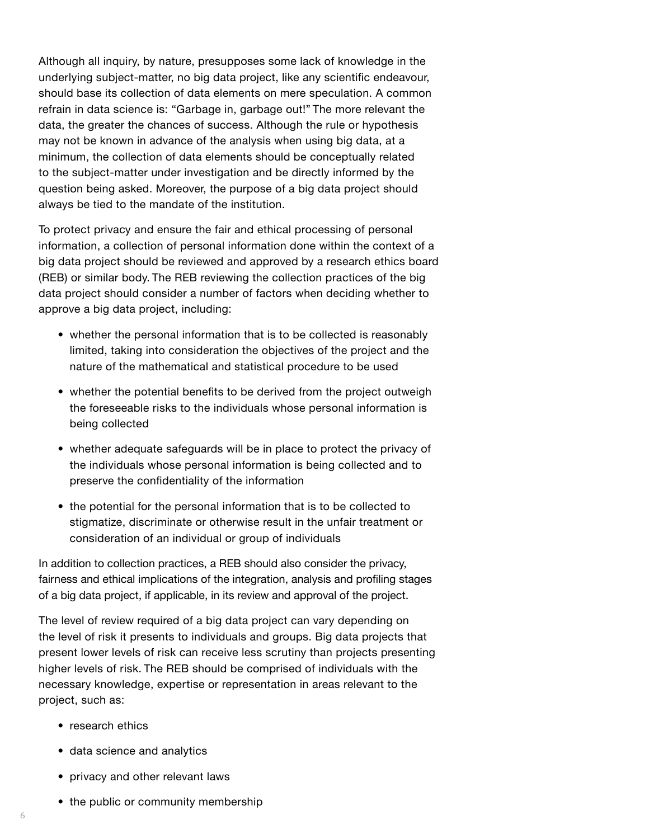Although all inquiry, by nature, presupposes some lack of knowledge in the underlying subject-matter, no big data project, like any scientific endeavour, should base its collection of data elements on mere speculation. A common refrain in data science is: "Garbage in, garbage out!" The more relevant the data, the greater the chances of success. Although the rule or hypothesis may not be known in advance of the analysis when using big data, at a minimum, the collection of data elements should be conceptually related to the subject-matter under investigation and be directly informed by the question being asked. Moreover, the purpose of a big data project should always be tied to the mandate of the institution.

To protect privacy and ensure the fair and ethical processing of personal information, a collection of personal information done within the context of a big data project should be reviewed and approved by a research ethics board (REB) or similar body. The REB reviewing the collection practices of the big data project should consider a number of factors when deciding whether to approve a big data project, including:

- whether the personal information that is to be collected is reasonably limited, taking into consideration the objectives of the project and the nature of the mathematical and statistical procedure to be used
- whether the potential benefits to be derived from the project outweigh the foreseeable risks to the individuals whose personal information is being collected
- whether adequate safeguards will be in place to protect the privacy of the individuals whose personal information is being collected and to preserve the confidentiality of the information
- the potential for the personal information that is to be collected to stigmatize, discriminate or otherwise result in the unfair treatment or consideration of an individual or group of individuals

In addition to collection practices, a REB should also consider the privacy, fairness and ethical implications of the integration, analysis and profiling stages of a big data project, if applicable, in its review and approval of the project.

The level of review required of a big data project can vary depending on the level of risk it presents to individuals and groups. Big data projects that present lower levels of risk can receive less scrutiny than projects presenting higher levels of risk. The REB should be comprised of individuals with the necessary knowledge, expertise or representation in areas relevant to the project, such as:

- research ethics
- data science and analytics
- privacy and other relevant laws
- the public or community membership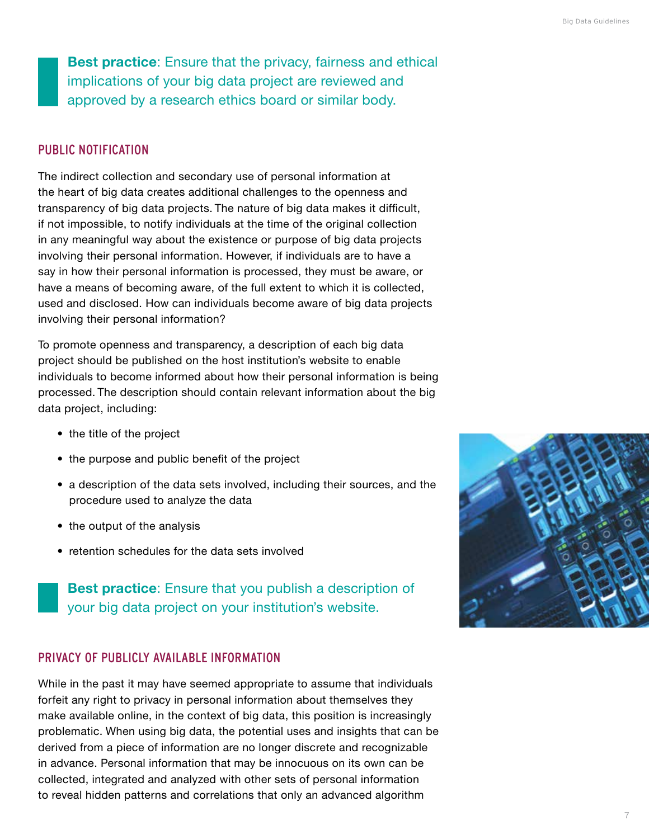**Best practice**: Ensure that the privacy, fairness and ethical implications of your big data project are reviewed and approved by a research ethics board or similar body.

#### PUBLIC NOTIFICATION

The indirect collection and secondary use of personal information at the heart of big data creates additional challenges to the openness and transparency of big data projects. The nature of big data makes it difficult, if not impossible, to notify individuals at the time of the original collection in any meaningful way about the existence or purpose of big data projects involving their personal information. However, if individuals are to have a say in how their personal information is processed, they must be aware, or have a means of becoming aware, of the full extent to which it is collected, used and disclosed. How can individuals become aware of big data projects involving their personal information?

To promote openness and transparency, a description of each big data project should be published on the host institution's website to enable individuals to become informed about how their personal information is being processed. The description should contain relevant information about the big data project, including:

- the title of the project
- the purpose and public benefit of the project
- a description of the data sets involved, including their sources, and the procedure used to analyze the data
- the output of the analysis
- retention schedules for the data sets involved

**Best practice**: Ensure that you publish a description of your big data project on your institution's website.

#### PRIVACY OF PUBLICLY AVAILABLE INFORMATION

While in the past it may have seemed appropriate to assume that individuals forfeit any right to privacy in personal information about themselves they make available online, in the context of big data, this position is increasingly problematic. When using big data, the potential uses and insights that can be derived from a piece of information are no longer discrete and recognizable in advance. Personal information that may be innocuous on its own can be collected, integrated and analyzed with other sets of personal information to reveal hidden patterns and correlations that only an advanced algorithm

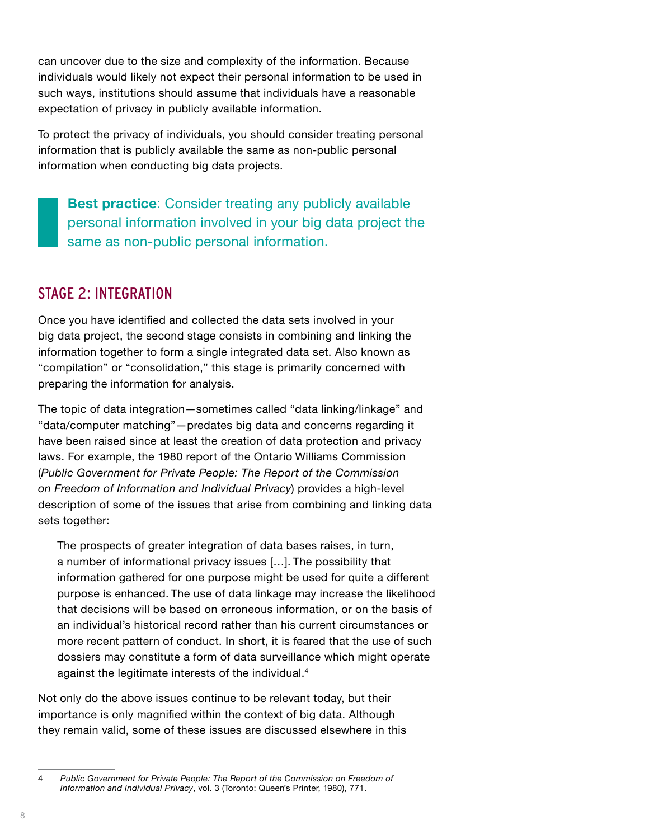<span id="page-9-0"></span>can uncover due to the size and complexity of the information. Because individuals would likely not expect their personal information to be used in such ways, institutions should assume that individuals have a reasonable expectation of privacy in publicly available information.

To protect the privacy of individuals, you should consider treating personal information that is publicly available the same as non-public personal information when conducting big data projects.

**Best practice**: Consider treating any publicly available personal information involved in your big data project the same as non-public personal information.

# STAGE 2: INTEGRATION

Once you have identified and collected the data sets involved in your big data project, the second stage consists in combining and linking the information together to form a single integrated data set. Also known as "compilation" or "consolidation," this stage is primarily concerned with preparing the information for analysis.

The topic of data integration—sometimes called "data linking/linkage" and "data/computer matching"—predates big data and concerns regarding it have been raised since at least the creation of data protection and privacy laws. For example, the 1980 report of the Ontario Williams Commission (*Public Government for Private People: The Report of the Commission on Freedom of Information and Individual Privacy*) provides a high-level description of some of the issues that arise from combining and linking data sets together:

The prospects of greater integration of data bases raises, in turn, a number of informational privacy issues […]. The possibility that information gathered for one purpose might be used for quite a different purpose is enhanced. The use of data linkage may increase the likelihood that decisions will be based on erroneous information, or on the basis of an individual's historical record rather than his current circumstances or more recent pattern of conduct. In short, it is feared that the use of such dossiers may constitute a form of data surveillance which might operate against the legitimate interests of the individual.4

Not only do the above issues continue to be relevant today, but their importance is only magnified within the context of big data. Although they remain valid, some of these issues are discussed elsewhere in this

<sup>4</sup> *Public Government for Private People: The Report of the Commission on Freedom of Information and Individual Privacy*, vol. 3 (Toronto: Queen's Printer, 1980), 771.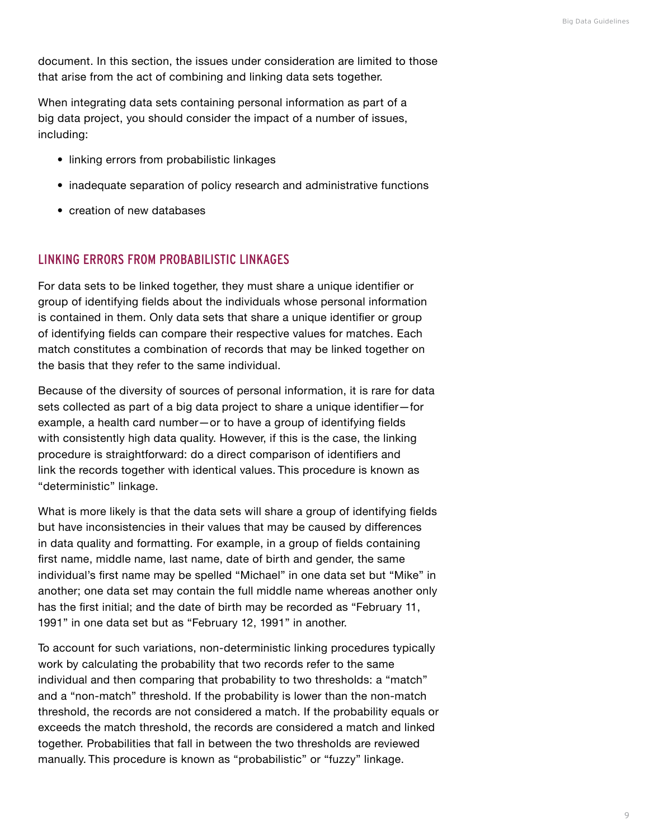document. In this section, the issues under consideration are limited to those that arise from the act of combining and linking data sets together.

When integrating data sets containing personal information as part of a big data project, you should consider the impact of a number of issues, including:

- linking errors from probabilistic linkages
- inadequate separation of policy research and administrative functions
- creation of new databases

#### LINKING ERRORS FROM PROBABILISTIC LINKAGES

For data sets to be linked together, they must share a unique identifier or group of identifying fields about the individuals whose personal information is contained in them. Only data sets that share a unique identifier or group of identifying fields can compare their respective values for matches. Each match constitutes a combination of records that may be linked together on the basis that they refer to the same individual.

Because of the diversity of sources of personal information, it is rare for data sets collected as part of a big data project to share a unique identifier—for example, a health card number—or to have a group of identifying fields with consistently high data quality. However, if this is the case, the linking procedure is straightforward: do a direct comparison of identifiers and link the records together with identical values. This procedure is known as "deterministic" linkage.

What is more likely is that the data sets will share a group of identifying fields but have inconsistencies in their values that may be caused by differences in data quality and formatting. For example, in a group of fields containing first name, middle name, last name, date of birth and gender, the same individual's first name may be spelled "Michael" in one data set but "Mike" in another; one data set may contain the full middle name whereas another only has the first initial; and the date of birth may be recorded as "February 11, 1991" in one data set but as "February 12, 1991" in another.

To account for such variations, non-deterministic linking procedures typically work by calculating the probability that two records refer to the same individual and then comparing that probability to two thresholds: a "match" and a "non-match" threshold. If the probability is lower than the non-match threshold, the records are not considered a match. If the probability equals or exceeds the match threshold, the records are considered a match and linked together. Probabilities that fall in between the two thresholds are reviewed manually. This procedure is known as "probabilistic" or "fuzzy" linkage.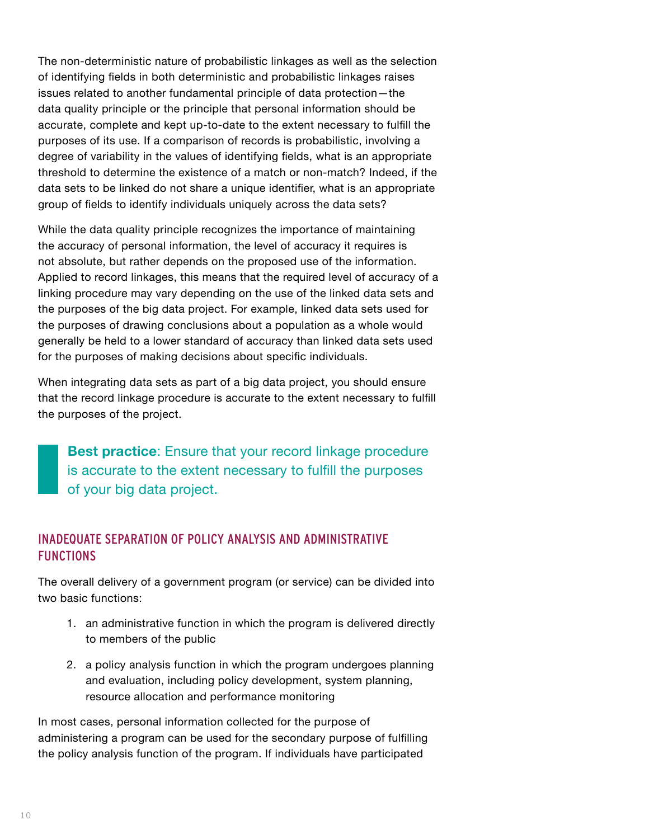The non-deterministic nature of probabilistic linkages as well as the selection of identifying fields in both deterministic and probabilistic linkages raises issues related to another fundamental principle of data protection—the data quality principle or the principle that personal information should be accurate, complete and kept up-to-date to the extent necessary to fulfill the purposes of its use. If a comparison of records is probabilistic, involving a degree of variability in the values of identifying fields, what is an appropriate threshold to determine the existence of a match or non-match? Indeed, if the data sets to be linked do not share a unique identifier, what is an appropriate group of fields to identify individuals uniquely across the data sets?

While the data quality principle recognizes the importance of maintaining the accuracy of personal information, the level of accuracy it requires is not absolute, but rather depends on the proposed use of the information. Applied to record linkages, this means that the required level of accuracy of a linking procedure may vary depending on the use of the linked data sets and the purposes of the big data project. For example, linked data sets used for the purposes of drawing conclusions about a population as a whole would generally be held to a lower standard of accuracy than linked data sets used for the purposes of making decisions about specific individuals.

When integrating data sets as part of a big data project, you should ensure that the record linkage procedure is accurate to the extent necessary to fulfill the purposes of the project.

**Best practice**: Ensure that your record linkage procedure is accurate to the extent necessary to fulfill the purposes of your big data project.

## INADEQUATE SEPARATION OF POLICY ANALYSIS AND ADMINISTRATIVE **FUNCTIONS**

The overall delivery of a government program (or service) can be divided into two basic functions:

- 1. an administrative function in which the program is delivered directly to members of the public
- 2. a policy analysis function in which the program undergoes planning and evaluation, including policy development, system planning, resource allocation and performance monitoring

In most cases, personal information collected for the purpose of administering a program can be used for the secondary purpose of fulfilling the policy analysis function of the program. If individuals have participated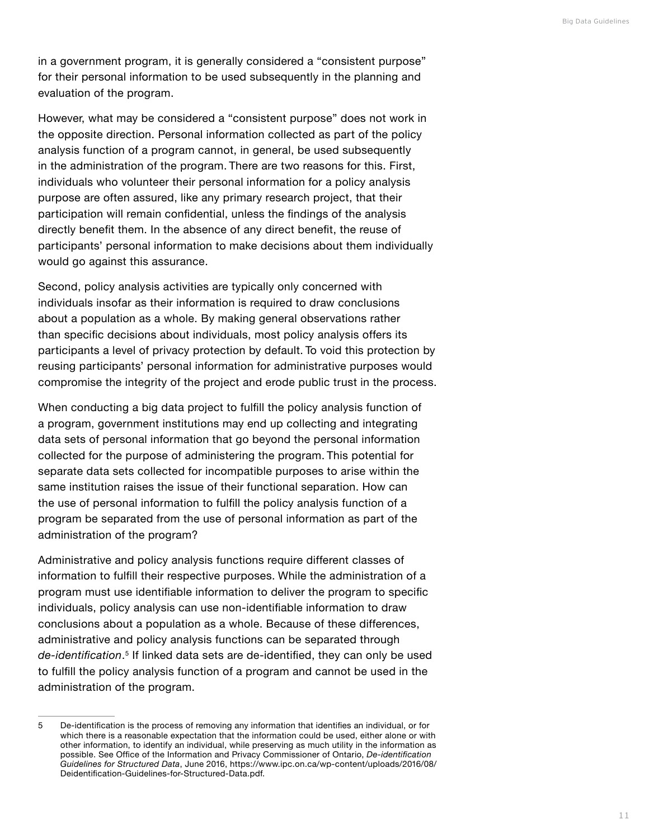in a government program, it is generally considered a "consistent purpose" for their personal information to be used subsequently in the planning and evaluation of the program.

However, what may be considered a "consistent purpose" does not work in the opposite direction. Personal information collected as part of the policy analysis function of a program cannot, in general, be used subsequently in the administration of the program. There are two reasons for this. First, individuals who volunteer their personal information for a policy analysis purpose are often assured, like any primary research project, that their participation will remain confidential, unless the findings of the analysis directly benefit them. In the absence of any direct benefit, the reuse of participants' personal information to make decisions about them individually would go against this assurance.

Second, policy analysis activities are typically only concerned with individuals insofar as their information is required to draw conclusions about a population as a whole. By making general observations rather than specific decisions about individuals, most policy analysis offers its participants a level of privacy protection by default. To void this protection by reusing participants' personal information for administrative purposes would compromise the integrity of the project and erode public trust in the process.

When conducting a big data project to fulfill the policy analysis function of a program, government institutions may end up collecting and integrating data sets of personal information that go beyond the personal information collected for the purpose of administering the program. This potential for separate data sets collected for incompatible purposes to arise within the same institution raises the issue of their functional separation. How can the use of personal information to fulfill the policy analysis function of a program be separated from the use of personal information as part of the administration of the program?

Administrative and policy analysis functions require different classes of information to fulfill their respective purposes. While the administration of a program must use identifiable information to deliver the program to specific individuals, policy analysis can use non-identifiable information to draw conclusions about a population as a whole. Because of these differences, administrative and policy analysis functions can be separated through *de-identification*. <sup>5</sup> If linked data sets are de-identified, they can only be used to fulfill the policy analysis function of a program and cannot be used in the administration of the program.

<sup>5</sup> De-identification is the process of removing any information that identifies an individual, or for which there is a reasonable expectation that the information could be used, either alone or with other information, to identify an individual, while preserving as much utility in the information as possible. See Office of the Information and Privacy Commissioner of Ontario, *De-identification Guidelines for Structured Data*, June 2016, [https://www.ipc.on.ca/wp-content/uploads/2016/08/](https://www.ipc.on.ca/wp-content/uploads/2016/08/Deidentification-Guidelines-for-Structured-Data.pdf) [Deidentification-Guidelines-for-Structured-Data.pdf](https://www.ipc.on.ca/wp-content/uploads/2016/08/Deidentification-Guidelines-for-Structured-Data.pdf).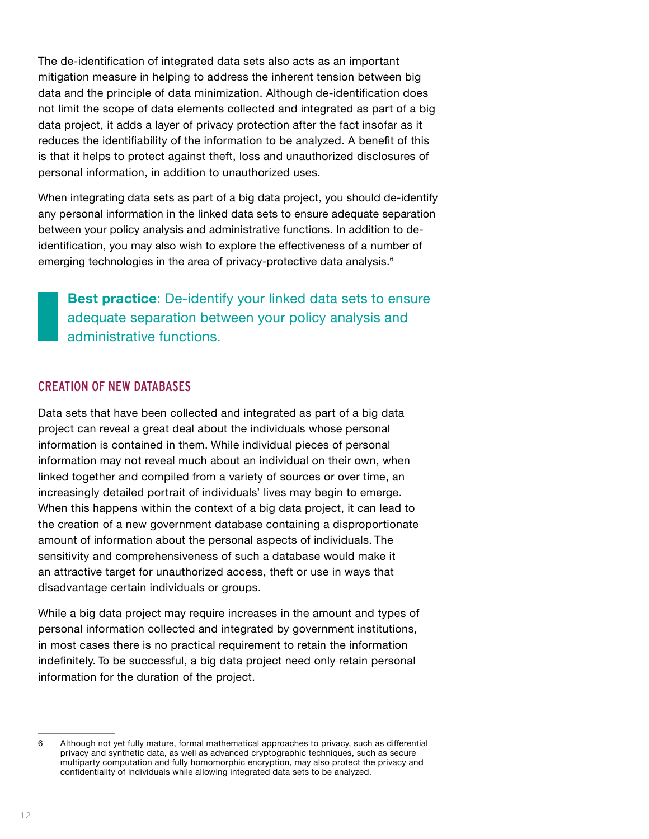The de-identification of integrated data sets also acts as an important mitigation measure in helping to address the inherent tension between big data and the principle of data minimization. Although de-identification does not limit the scope of data elements collected and integrated as part of a big data project, it adds a layer of privacy protection after the fact insofar as it reduces the identifiability of the information to be analyzed. A benefit of this is that it helps to protect against theft, loss and unauthorized disclosures of personal information, in addition to unauthorized uses.

When integrating data sets as part of a big data project, you should de-identify any personal information in the linked data sets to ensure adequate separation between your policy analysis and administrative functions. In addition to deidentification, you may also wish to explore the effectiveness of a number of emerging technologies in the area of privacy-protective data analysis.<sup>6</sup>

**Best practice**: De-identify your linked data sets to ensure adequate separation between your policy analysis and administrative functions.

#### CREATION OF NEW DATABASES

Data sets that have been collected and integrated as part of a big data project can reveal a great deal about the individuals whose personal information is contained in them. While individual pieces of personal information may not reveal much about an individual on their own, when linked together and compiled from a variety of sources or over time, an increasingly detailed portrait of individuals' lives may begin to emerge. When this happens within the context of a big data project, it can lead to the creation of a new government database containing a disproportionate amount of information about the personal aspects of individuals. The sensitivity and comprehensiveness of such a database would make it an attractive target for unauthorized access, theft or use in ways that disadvantage certain individuals or groups.

While a big data project may require increases in the amount and types of personal information collected and integrated by government institutions, in most cases there is no practical requirement to retain the information indefinitely. To be successful, a big data project need only retain personal information for the duration of the project.

<sup>6</sup> Although not yet fully mature, formal mathematical approaches to privacy, such as differential privacy and synthetic data, as well as advanced cryptographic techniques, such as secure multiparty computation and fully homomorphic encryption, may also protect the privacy and confidentiality of individuals while allowing integrated data sets to be analyzed.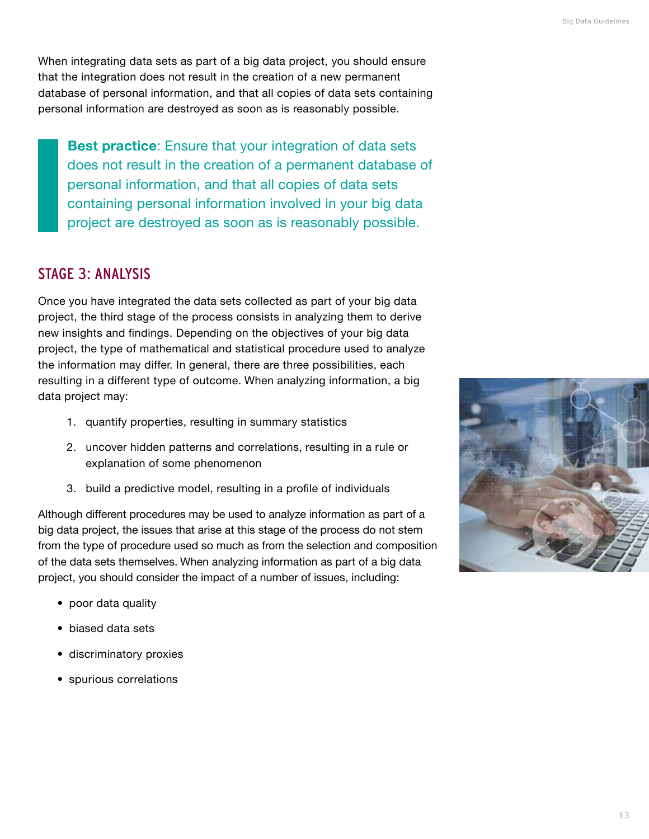<span id="page-14-0"></span>When integrating data sets as part of a big data project, you should ensure that the integration does not result in the creation of a new permanent database of personal information, and that all copies of data sets containing personal information are destroyed as soon as is reasonably possible.

**Best practice**: Ensure that your integration of data sets does not result in the creation of a permanent database of personal information, and that all copies of data sets containing personal information involved in your big data project are destroyed as soon as is reasonably possible.

# STAGE 3: ANALYSIS

Once you have integrated the data sets collected as part of your big data project, the third stage of the process consists in analyzing them to derive new insights and findings. Depending on the objectives of your big data project, the type of mathematical and statistical procedure used to analyze the information may differ. In general, there are three possibilities, each resulting in a different type of outcome. When analyzing information, a big data project may:

- 1. quantify properties, resulting in summary statistics
- 2. uncover hidden patterns and correlations, resulting in a rule or explanation of some phenomenon
- 3. build a predictive model, resulting in a profile of individuals

Although different procedures may be used to analyze information as part of a big data project, the issues that arise at this stage of the process do not stem from the type of procedure used so much as from the selection and composition of the data sets themselves. When analyzing information as part of a big data project, you should consider the impact of a number of issues, including:

- poor data quality
- biased data sets
- discriminatory proxies
- spurious correlations

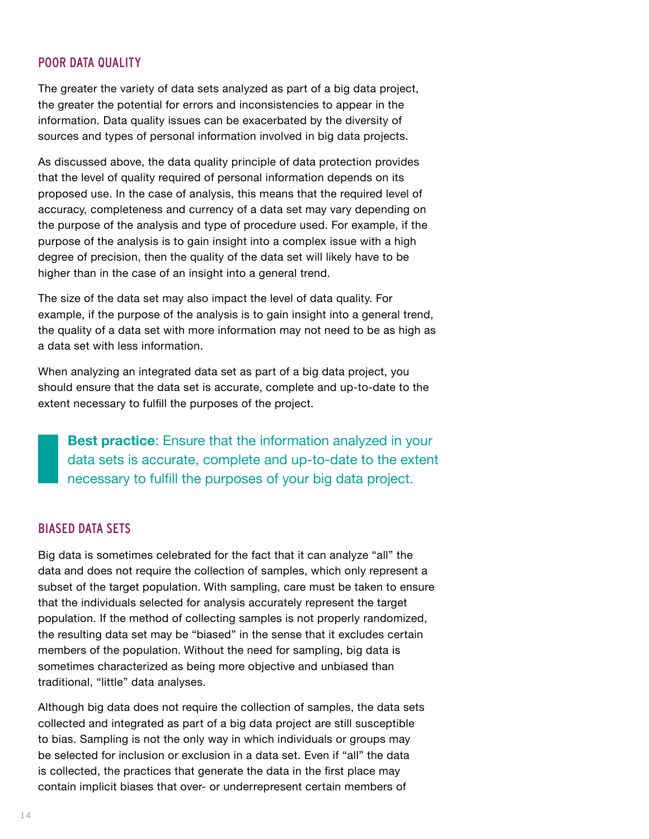#### POOR DATA QUALITY

The greater the variety of data sets analyzed as part of a big data project, the greater the potential for errors and inconsistencies to appear in the information. Data quality issues can be exacerbated by the diversity of sources and types of personal information involved in big data projects.

As discussed above, the data quality principle of data protection provides that the level of quality required of personal information depends on its proposed use. In the case of analysis, this means that the required level of accuracy, completeness and currency of a data set may vary depending on the purpose of the analysis and type of procedure used. For example, if the purpose of the analysis is to gain insight into a complex issue with a high degree of precision, then the quality of the data set will likely have to be higher than in the case of an insight into a general trend.

The size of the data set may also impact the level of data quality. For example, if the purpose of the analysis is to gain insight into a general trend, the quality of a data set with more information may not need to be as high as a data set with less information.

When analyzing an integrated data set as part of a big data project, you should ensure that the data set is accurate, complete and up-to-date to the extent necessary to fulfill the purposes of the project.

**Best practice**: Ensure that the information analyzed in your data sets is accurate, complete and up-to-date to the extent necessary to fulfill the purposes of your big data project.

#### BIASED DATA SETS

Big data is sometimes celebrated for the fact that it can analyze "all" the data and does not require the collection of samples, which only represent a subset of the target population. With sampling, care must be taken to ensure that the individuals selected for analysis accurately represent the target population. If the method of collecting samples is not properly randomized, the resulting data set may be "biased" in the sense that it excludes certain members of the population. Without the need for sampling, big data is sometimes characterized as being more objective and unbiased than traditional, "little" data analyses.

Although big data does not require the collection of samples, the data sets collected and integrated as part of a big data project are still susceptible to bias. Sampling is not the only way in which individuals or groups may be selected for inclusion or exclusion in a data set. Even if "all" the data is collected, the practices that generate the data in the first place may contain implicit biases that over- or underrepresent certain members of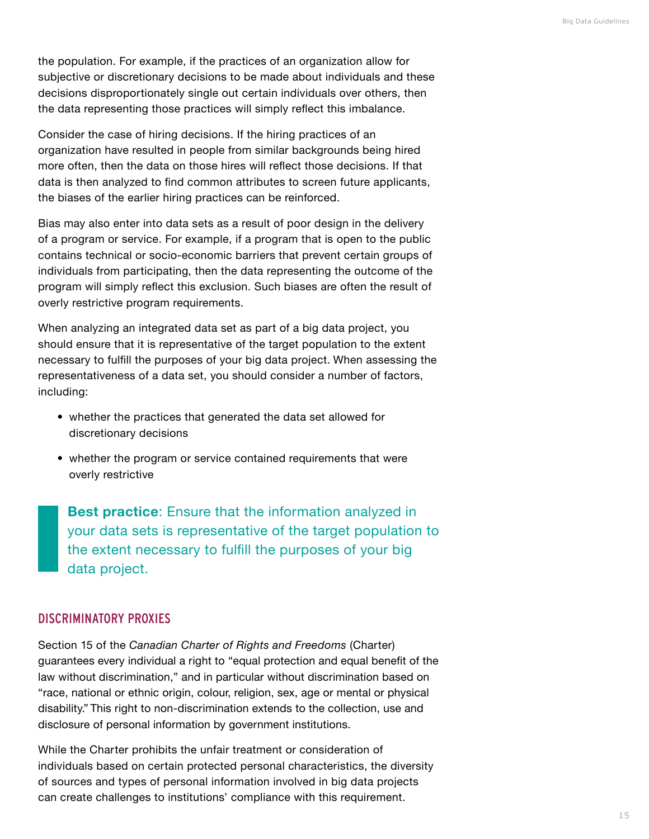the population. For example, if the practices of an organization allow for subjective or discretionary decisions to be made about individuals and these decisions disproportionately single out certain individuals over others, then the data representing those practices will simply reflect this imbalance.

Consider the case of hiring decisions. If the hiring practices of an organization have resulted in people from similar backgrounds being hired more often, then the data on those hires will reflect those decisions. If that data is then analyzed to find common attributes to screen future applicants, the biases of the earlier hiring practices can be reinforced.

Bias may also enter into data sets as a result of poor design in the delivery of a program or service. For example, if a program that is open to the public contains technical or socio-economic barriers that prevent certain groups of individuals from participating, then the data representing the outcome of the program will simply reflect this exclusion. Such biases are often the result of overly restrictive program requirements.

When analyzing an integrated data set as part of a big data project, you should ensure that it is representative of the target population to the extent necessary to fulfill the purposes of your big data project. When assessing the representativeness of a data set, you should consider a number of factors, including:

- whether the practices that generated the data set allowed for discretionary decisions
- whether the program or service contained requirements that were overly restrictive

**Best practice**: Ensure that the information analyzed in your data sets is representative of the target population to the extent necessary to fulfill the purposes of your big data project.

#### DISCRIMINATORY PROXIES

Section 15 of the *Canadian Charter of Rights and Freedoms* (Charter) guarantees every individual a right to "equal protection and equal benefit of the law without discrimination," and in particular without discrimination based on "race, national or ethnic origin, colour, religion, sex, age or mental or physical disability." This right to non-discrimination extends to the collection, use and disclosure of personal information by government institutions.

While the Charter prohibits the unfair treatment or consideration of individuals based on certain protected personal characteristics, the diversity of sources and types of personal information involved in big data projects can create challenges to institutions' compliance with this requirement.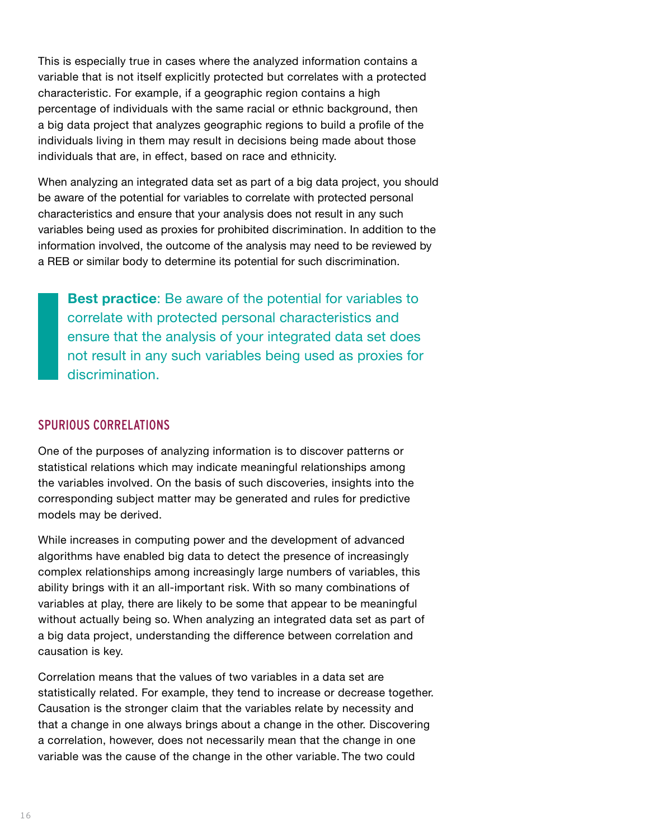This is especially true in cases where the analyzed information contains a variable that is not itself explicitly protected but correlates with a protected characteristic. For example, if a geographic region contains a high percentage of individuals with the same racial or ethnic background, then a big data project that analyzes geographic regions to build a profile of the individuals living in them may result in decisions being made about those individuals that are, in effect, based on race and ethnicity.

When analyzing an integrated data set as part of a big data project, you should be aware of the potential for variables to correlate with protected personal characteristics and ensure that your analysis does not result in any such variables being used as proxies for prohibited discrimination. In addition to the information involved, the outcome of the analysis may need to be reviewed by a REB or similar body to determine its potential for such discrimination.

**Best practice**: Be aware of the potential for variables to correlate with protected personal characteristics and ensure that the analysis of your integrated data set does not result in any such variables being used as proxies for discrimination.

#### SPURIOUS CORRELATIONS

One of the purposes of analyzing information is to discover patterns or statistical relations which may indicate meaningful relationships among the variables involved. On the basis of such discoveries, insights into the corresponding subject matter may be generated and rules for predictive models may be derived.

While increases in computing power and the development of advanced algorithms have enabled big data to detect the presence of increasingly complex relationships among increasingly large numbers of variables, this ability brings with it an all-important risk. With so many combinations of variables at play, there are likely to be some that appear to be meaningful without actually being so. When analyzing an integrated data set as part of a big data project, understanding the difference between correlation and causation is key.

Correlation means that the values of two variables in a data set are statistically related. For example, they tend to increase or decrease together. Causation is the stronger claim that the variables relate by necessity and that a change in one always brings about a change in the other. Discovering a correlation, however, does not necessarily mean that the change in one variable was the cause of the change in the other variable. The two could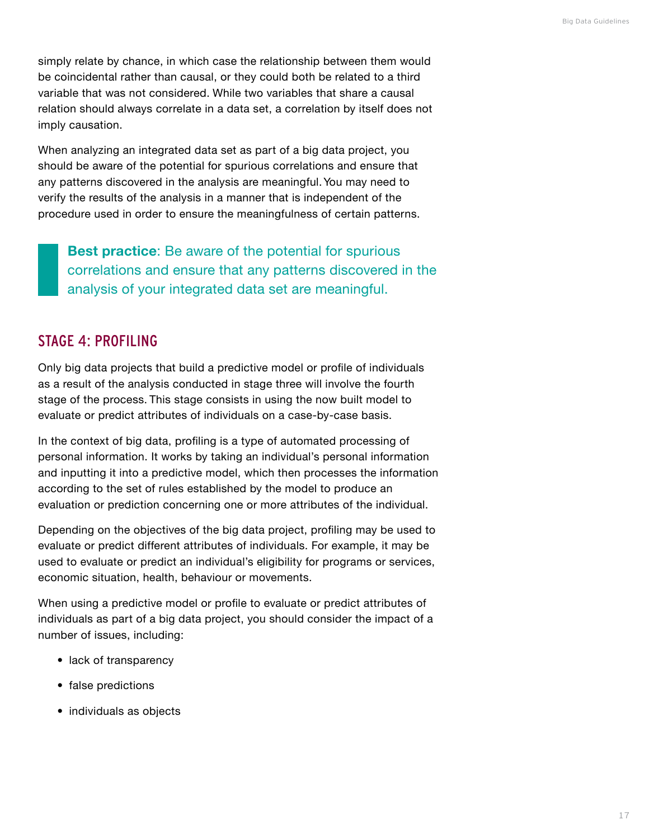<span id="page-18-0"></span>simply relate by chance, in which case the relationship between them would be coincidental rather than causal, or they could both be related to a third variable that was not considered. While two variables that share a causal relation should always correlate in a data set, a correlation by itself does not imply causation.

When analyzing an integrated data set as part of a big data project, you should be aware of the potential for spurious correlations and ensure that any patterns discovered in the analysis are meaningful. You may need to verify the results of the analysis in a manner that is independent of the procedure used in order to ensure the meaningfulness of certain patterns.

**Best practice**: Be aware of the potential for spurious correlations and ensure that any patterns discovered in the analysis of your integrated data set are meaningful.

# STAGE 4: PROFILING

Only big data projects that build a predictive model or profile of individuals as a result of the analysis conducted in stage three will involve the fourth stage of the process. This stage consists in using the now built model to evaluate or predict attributes of individuals on a case-by-case basis.

In the context of big data, profiling is a type of automated processing of personal information. It works by taking an individual's personal information and inputting it into a predictive model, which then processes the information according to the set of rules established by the model to produce an evaluation or prediction concerning one or more attributes of the individual.

Depending on the objectives of the big data project, profiling may be used to evaluate or predict different attributes of individuals. For example, it may be used to evaluate or predict an individual's eligibility for programs or services, economic situation, health, behaviour or movements.

When using a predictive model or profile to evaluate or predict attributes of individuals as part of a big data project, you should consider the impact of a number of issues, including:

- lack of transparency
- false predictions
- individuals as objects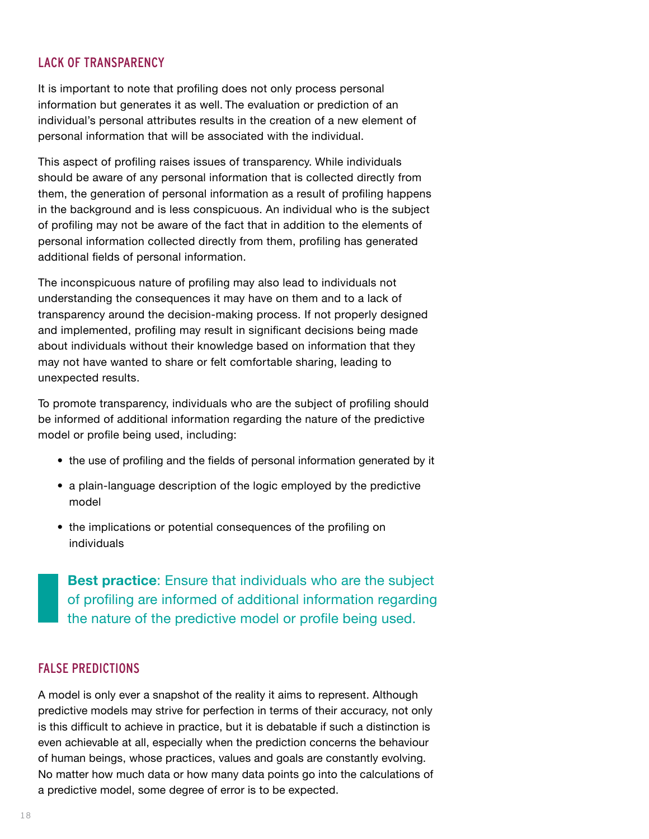### LACK OF TRANSPARENCY

It is important to note that profiling does not only process personal information but generates it as well. The evaluation or prediction of an individual's personal attributes results in the creation of a new element of personal information that will be associated with the individual.

This aspect of profiling raises issues of transparency. While individuals should be aware of any personal information that is collected directly from them, the generation of personal information as a result of profiling happens in the background and is less conspicuous. An individual who is the subject of profiling may not be aware of the fact that in addition to the elements of personal information collected directly from them, profiling has generated additional fields of personal information.

The inconspicuous nature of profiling may also lead to individuals not understanding the consequences it may have on them and to a lack of transparency around the decision-making process. If not properly designed and implemented, profiling may result in significant decisions being made about individuals without their knowledge based on information that they may not have wanted to share or felt comfortable sharing, leading to unexpected results.

To promote transparency, individuals who are the subject of profiling should be informed of additional information regarding the nature of the predictive model or profile being used, including:

- the use of profiling and the fields of personal information generated by it
- a plain-language description of the logic employed by the predictive model
- the implications or potential consequences of the profiling on individuals

**Best practice**: Ensure that individuals who are the subject of profiling are informed of additional information regarding the nature of the predictive model or profile being used.

#### FALSE PREDICTIONS

A model is only ever a snapshot of the reality it aims to represent. Although predictive models may strive for perfection in terms of their accuracy, not only is this difficult to achieve in practice, but it is debatable if such a distinction is even achievable at all, especially when the prediction concerns the behaviour of human beings, whose practices, values and goals are constantly evolving. No matter how much data or how many data points go into the calculations of a predictive model, some degree of error is to be expected.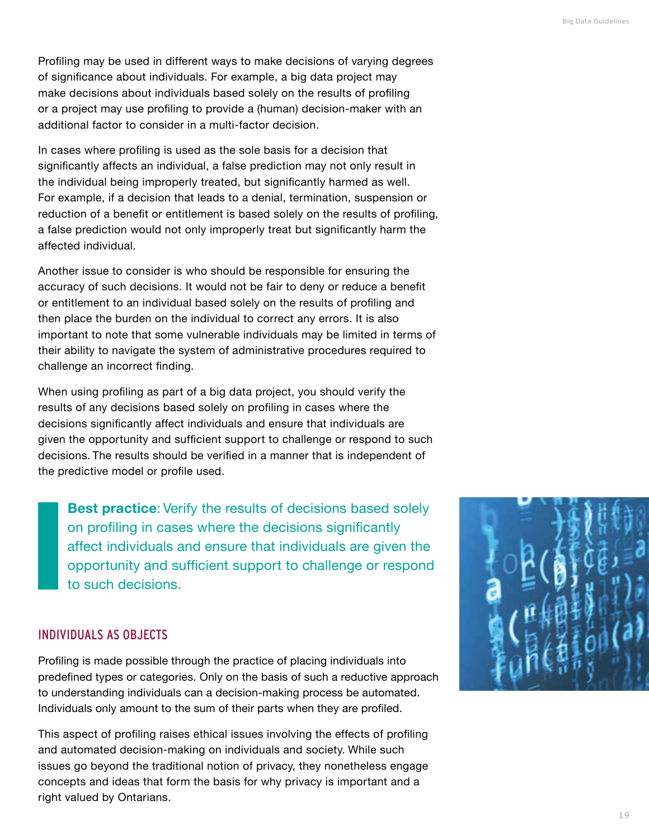Profiling may be used in different ways to make decisions of varying degrees of significance about individuals. For example, a big data project may make decisions about individuals based solely on the results of profiling or a project may use profiling to provide a (human) decision-maker with an additional factor to consider in a multi-factor decision.

In cases where profiling is used as the sole basis for a decision that significantly affects an individual, a false prediction may not only result in the individual being improperly treated, but significantly harmed as well. For example, if a decision that leads to a denial, termination, suspension or reduction of a benefit or entitlement is based solely on the results of profiling, a false prediction would not only improperly treat but significantly harm the affected individual.

Another issue to consider is who should be responsible for ensuring the accuracy of such decisions. It would not be fair to deny or reduce a benefit or entitlement to an individual based solely on the results of profiling and then place the burden on the individual to correct any errors. It is also important to note that some vulnerable individuals may be limited in terms of their ability to navigate the system of administrative procedures required to challenge an incorrect finding.

When using profiling as part of a big data project, you should verify the results of any decisions based solely on profiling in cases where the decisions significantly affect individuals and ensure that individuals are given the opportunity and sufficient support to challenge or respond to such decisions. The results should be verified in a manner that is independent of the predictive model or profile used.

**Best practice**: Verify the results of decisions based solely on profiling in cases where the decisions significantly affect individuals and ensure that individuals are given the opportunity and sufficient support to challenge or respond to such decisions.

#### INDIVIDUALS AS OBJECTS

Profiling is made possible through the practice of placing individuals into predefined types or categories. Only on the basis of such a reductive approach to understanding individuals can a decision-making process be automated. Individuals only amount to the sum of their parts when they are profiled.

This aspect of profiling raises ethical issues involving the effects of profiling and automated decision-making on individuals and society. While such issues go beyond the traditional notion of privacy, they nonetheless engage concepts and ideas that form the basis for why privacy is important and a right valued by Ontarians.

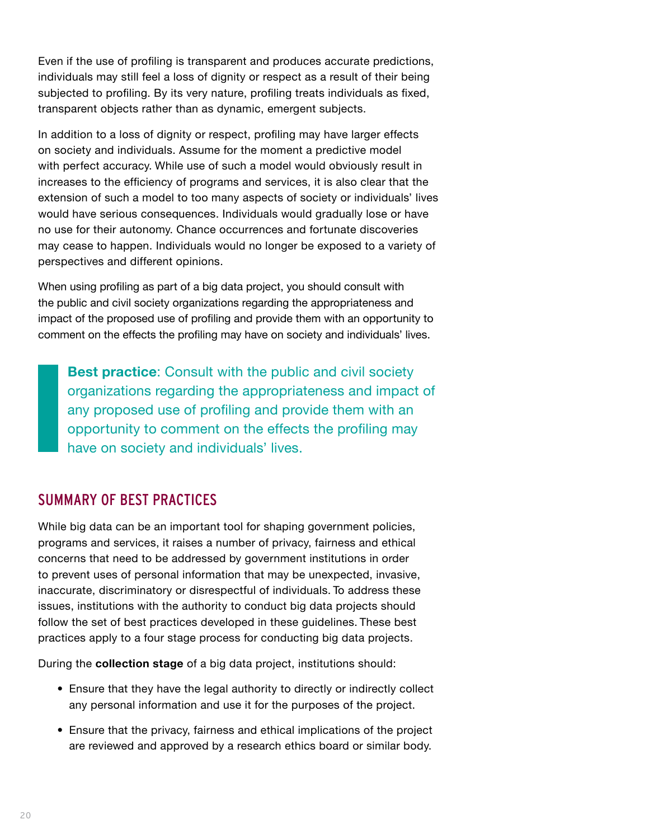<span id="page-21-0"></span>Even if the use of profiling is transparent and produces accurate predictions, individuals may still feel a loss of dignity or respect as a result of their being subjected to profiling. By its very nature, profiling treats individuals as fixed, transparent objects rather than as dynamic, emergent subjects.

In addition to a loss of dignity or respect, profiling may have larger effects on society and individuals. Assume for the moment a predictive model with perfect accuracy. While use of such a model would obviously result in increases to the efficiency of programs and services, it is also clear that the extension of such a model to too many aspects of society or individuals' lives would have serious consequences. Individuals would gradually lose or have no use for their autonomy. Chance occurrences and fortunate discoveries may cease to happen. Individuals would no longer be exposed to a variety of perspectives and different opinions.

When using profiling as part of a big data project, you should consult with the public and civil society organizations regarding the appropriateness and impact of the proposed use of profiling and provide them with an opportunity to comment on the effects the profiling may have on society and individuals' lives.

**Best practice**: Consult with the public and civil society organizations regarding the appropriateness and impact of any proposed use of profiling and provide them with an opportunity to comment on the effects the profiling may have on society and individuals' lives.

# SUMMARY OF BEST PRACTICES

While big data can be an important tool for shaping government policies, programs and services, it raises a number of privacy, fairness and ethical concerns that need to be addressed by government institutions in order to prevent uses of personal information that may be unexpected, invasive, inaccurate, discriminatory or disrespectful of individuals. To address these issues, institutions with the authority to conduct big data projects should follow the set of best practices developed in these guidelines. These best practices apply to a four stage process for conducting big data projects.

During the **collection stage** of a big data project, institutions should:

- Ensure that they have the legal authority to directly or indirectly collect any personal information and use it for the purposes of the project.
- Ensure that the privacy, fairness and ethical implications of the project are reviewed and approved by a research ethics board or similar body.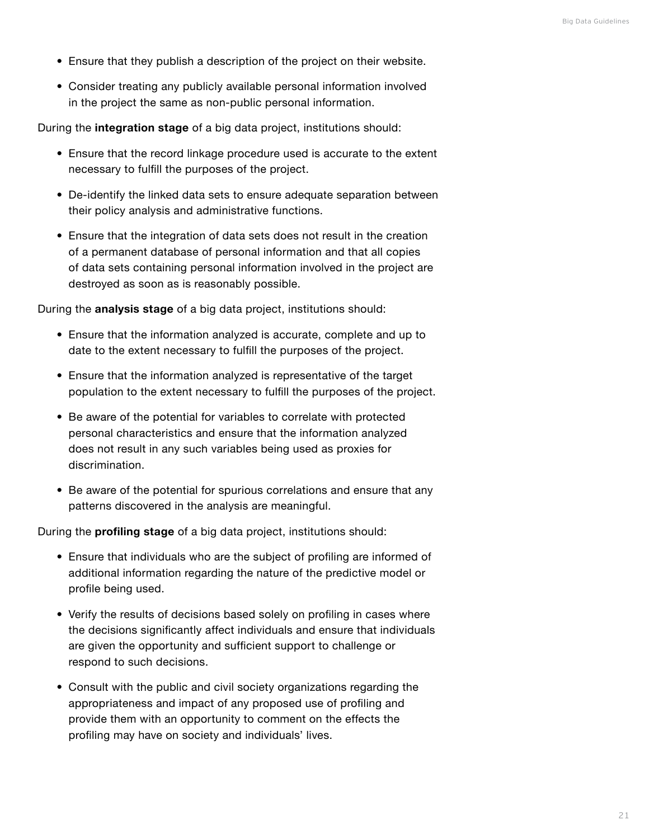- Ensure that they publish a description of the project on their website.
- Consider treating any publicly available personal information involved in the project the same as non-public personal information.

During the **integration stage** of a big data project, institutions should:

- Ensure that the record linkage procedure used is accurate to the extent necessary to fulfill the purposes of the project.
- De-identify the linked data sets to ensure adequate separation between their policy analysis and administrative functions.
- Ensure that the integration of data sets does not result in the creation of a permanent database of personal information and that all copies of data sets containing personal information involved in the project are destroyed as soon as is reasonably possible.

During the **analysis stage** of a big data project, institutions should:

- Ensure that the information analyzed is accurate, complete and up to date to the extent necessary to fulfill the purposes of the project.
- Ensure that the information analyzed is representative of the target population to the extent necessary to fulfill the purposes of the project.
- Be aware of the potential for variables to correlate with protected personal characteristics and ensure that the information analyzed does not result in any such variables being used as proxies for discrimination.
- Be aware of the potential for spurious correlations and ensure that any patterns discovered in the analysis are meaningful.

During the **profiling stage** of a big data project, institutions should:

- Ensure that individuals who are the subject of profiling are informed of additional information regarding the nature of the predictive model or profile being used.
- Verify the results of decisions based solely on profiling in cases where the decisions significantly affect individuals and ensure that individuals are given the opportunity and sufficient support to challenge or respond to such decisions.
- Consult with the public and civil society organizations regarding the appropriateness and impact of any proposed use of profiling and provide them with an opportunity to comment on the effects the profiling may have on society and individuals' lives.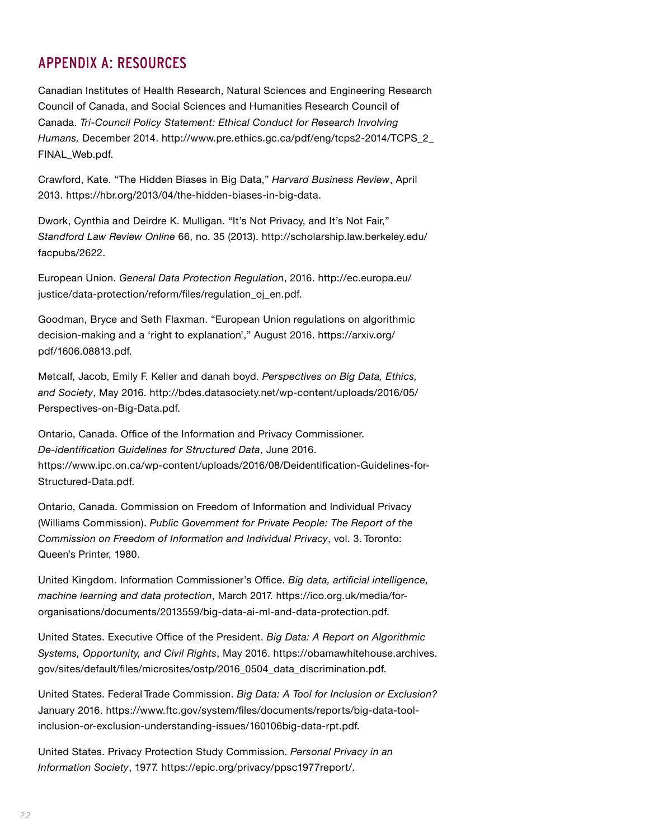# <span id="page-23-0"></span>APPENDIX A: RESOURCES

Canadian Institutes of Health Research, Natural Sciences and Engineering Research Council of Canada, and Social Sciences and Humanities Research Council of Canada. *Tri-Council Policy Statement: Ethical Conduct for Research Involving Humans,* December 2014. [http://www.pre.ethics.gc.ca/pdf/eng/tcps2-2014/TCPS\\_2\\_](http://www.pre.ethics.gc.ca/pdf/eng/tcps2-2014/TCPS_2_FINAL_Web.pdf) [FINAL\\_Web.pdf](http://www.pre.ethics.gc.ca/pdf/eng/tcps2-2014/TCPS_2_FINAL_Web.pdf).

Crawford, Kate. "The Hidden Biases in Big Data," *Harvard Business Review*, April 2013.<https://hbr.org/2013/04/the>-hidden-biases-in-big-data.

Dwork, Cynthia and Deirdre K. Mulligan. "It's Not Privacy, and It's Not Fair," *Standford Law Review Online* 66, no. 35 (2013). [http://scholarship.law.berkeley.edu/](http://scholarship.law.berkeley.edu/facpubs/2622) [facpubs/2622](http://scholarship.law.berkeley.edu/facpubs/2622).

European Union. *General Data Protection Regulation*, 2016. [http://ec.europa.eu/](http://ec.europa.eu/justice/data-protection/reform/files/regulation_oj_en.pdf) [justice/data-protection/reform/files/regulation\\_oj\\_en.pdf](http://ec.europa.eu/justice/data-protection/reform/files/regulation_oj_en.pdf).

Goodman, Bryce and Seth Flaxman. "European Union regulations on algorithmic decision-making and a 'right to explanation'," August 2016. [https://arxiv.org/](https://arxiv.org/pdf/1606.08813.pdf) [pdf/1606.08813.pdf](https://arxiv.org/pdf/1606.08813.pdf).

Metcalf, Jacob, Emily F. Keller and danah boyd. *Perspectives on Big Data, Ethics, and Society*, May 2016. [http://bdes.datasociety.net/wp-content/uploads/2016/05/](http://bdes.datasociety.net/wp-content/uploads/2016/05/Perspectives-on-Big-Data.pdf) [Perspectives-on-Big-Data.pdf](http://bdes.datasociety.net/wp-content/uploads/2016/05/Perspectives-on-Big-Data.pdf).

Ontario, Canada. Office of the Information and Privacy Commissioner. *De-identification Guidelines for Structured Data*, June 2016. [https://www.ipc.on.ca/wp-content/uploads/2016/08/Deidentification-Guidelines-for-](https://www.ipc.on.ca/wp-content/uploads/2016/08/Deidentification-Guidelines-for-Structured-Data.pdf)[Structured-Data.pdf](https://www.ipc.on.ca/wp-content/uploads/2016/08/Deidentification-Guidelines-for-Structured-Data.pdf).

Ontario, Canada. Commission on Freedom of Information and Individual Privacy (Williams Commission). *Public Government for Private People: The Report of the Commission on Freedom of Information and Individual Privacy*, vol. 3. Toronto: Queen's Printer, 1980.

United Kingdom. Information Commissioner's Office. *Big data, artificial intelligence, machine learning and data protection*, March 2017. [https://ico.org.uk/media/for](https://ico.org.uk/media/for-organisations/documents/2013559/big-data-ai-ml-and-data-protection.pdf)[organisations/documents/2013559/big-data-ai-ml-and-data-protection.pdf](https://ico.org.uk/media/for-organisations/documents/2013559/big-data-ai-ml-and-data-protection.pdf).

United States. Executive Office of the President. *Big Data: A Report on Algorithmic Systems, Opportunity, and Civil Rights*, May 2016. [https://obamawhitehouse.archives.](https://obamawhitehouse.archives.gov/sites/default/files/microsites/ostp/2016_0504_data_discrimination.pdf) [gov/sites/default/files/microsites/ostp/2016\\_0504\\_data\\_discrimination.pdf](https://obamawhitehouse.archives.gov/sites/default/files/microsites/ostp/2016_0504_data_discrimination.pdf).

United States. Federal Trade Commission. *Big Data: A Tool for Inclusion or Exclusion?* January 2016. [https://www.ftc.gov/system/files/documents/reports/big-data-tool](https://www.ftc.gov/system/files/documents/reports/big-data-tool-inclusion-or-exclusion-understanding-issues/160106big-data-rpt.pdf)[inclusion-or-exclusion-understanding-issues/160106big-data-rpt.pdf](https://www.ftc.gov/system/files/documents/reports/big-data-tool-inclusion-or-exclusion-understanding-issues/160106big-data-rpt.pdf).

United States. Privacy Protection Study Commission. *Personal Privacy in an Information Society*, 1977.<https://epic.org/privacy/ppsc1977report>/.